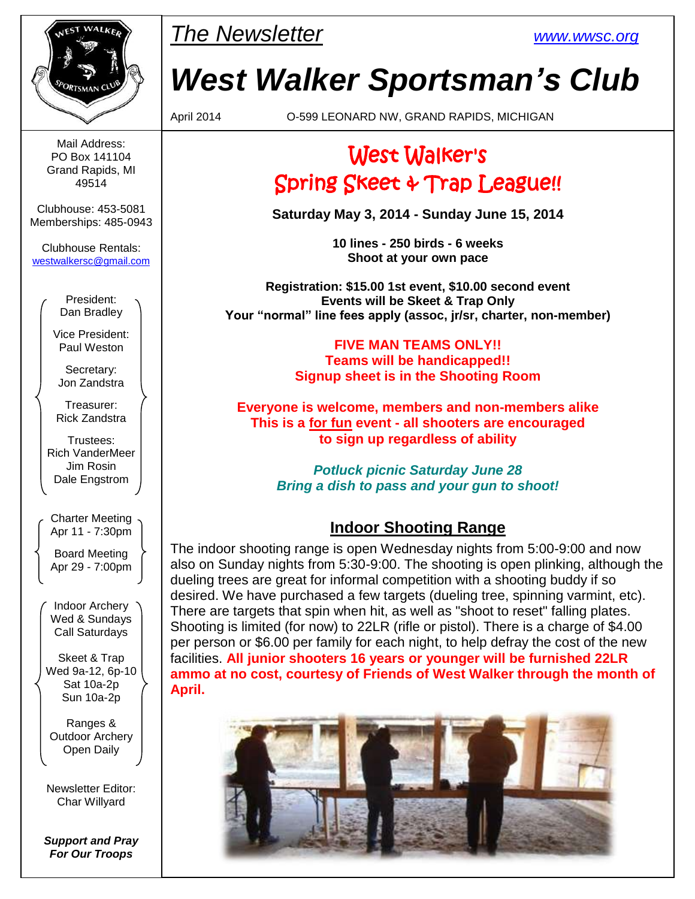

Mail Address: PO Box 141104 Grand Rapids, MI 49514

Clubhouse: 453-5081 Memberships: 485-0943

Clubhouse Rentals: [westwalkersc@gmail.com](mailto:westwalkersc@gmail.com)

> President: Dan Bradley

Vice President: Paul Weston

Secretary: Jon Zandstra

Treasurer: Rick Zandstra

Trustees: Rich VanderMeer Jim Rosin Dale Engstrom

Charter Meeting Apr 11 - 7:30pm

Board Meeting Apr 29 - 7:00pm

Indoor Archery Wed & Sundays Call Saturdays

Skeet & Trap Wed 9a-12, 6p-10 Sat 10a-2p Sun 10a-2p

Ranges & Outdoor Archery Open Daily

Newsletter Editor: Char Willyard

*Support and Pray For Our Troops*

*The Newsletter [www.wwsc.org](file:///C:/WWSC/Newsletter/www.wwsc.org)*

# *West Walker Sportsman's Club*

April 2014 O-599 LEONARD NW, GRAND RAPIDS, MICHIGAN

# West Walker's Spring Skeet & Trap League!!

**Saturday May 3, 2014 - Sunday June 15, 2014**

**10 lines - 250 birds - 6 weeks Shoot at your own pace**

**Registration: \$15.00 1st event, \$10.00 second event Events will be Skeet & Trap Only Your "normal" line fees apply (assoc, jr/sr, charter, non-member)**

> **FIVE MAN TEAMS ONLY!! Teams will be handicapped!! Signup sheet is in the Shooting Room**

**Everyone is welcome, members and non-members alike This is a for fun event - all shooters are encouraged to sign up regardless of ability**

> *Potluck picnic Saturday June 28 Bring a dish to pass and your gun to shoot!*

### **Indoor Shooting Range**

The indoor shooting range is open Wednesday nights from 5:00-9:00 and now also on Sunday nights from 5:30-9:00. The shooting is open plinking, although the dueling trees are great for informal competition with a shooting buddy if so desired. We have purchased a few targets (dueling tree, spinning varmint, etc). There are targets that spin when hit, as well as "shoot to reset" falling plates. Shooting is limited (for now) to 22LR (rifle or pistol). There is a charge of \$4.00 per person or \$6.00 per family for each night, to help defray the cost of the new facilities. **All junior shooters 16 years or younger will be furnished 22LR ammo at no cost, courtesy of Friends of West Walker through the month of April.**

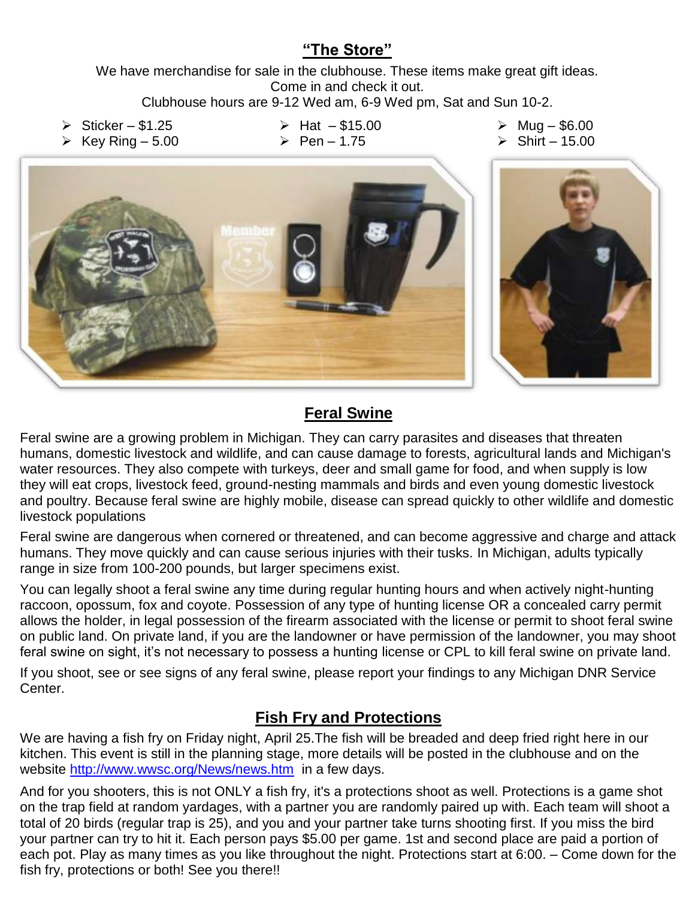#### **"The Store"**

We have merchandise for sale in the clubhouse. These items make great gift ideas. Come in and check it out.

Clubhouse hours are 9-12 Wed am, 6-9 Wed pm, Sat and Sun 10-2.

 $\triangleright$  Sticker – \$1.25

- $\triangleright$  Hat \$15.00
- $\geq$  Pen 1.75

 $\triangleright$  Mug – \$6.00

 $\triangleright$  Key Ring – 5.00

 $\triangleright$  Shirt – 15.00



### **Feral Swine**

Feral swine are a growing problem in Michigan. They can carry parasites and diseases that threaten humans, domestic livestock and wildlife, and can cause damage to forests, agricultural lands and Michigan's water resources. They also compete with turkeys, deer and small game for food, and when supply is low they will eat crops, livestock feed, ground-nesting mammals and birds and even young domestic livestock and poultry. Because feral swine are highly mobile, disease can spread quickly to other wildlife and domestic livestock populations

Feral swine are dangerous when cornered or threatened, and can become aggressive and charge and attack humans. They move quickly and can cause serious injuries with their tusks. In Michigan, adults typically range in size from 100-200 pounds, but larger specimens exist.

You can legally shoot a feral swine any time during regular hunting hours and when actively night-hunting raccoon, opossum, fox and coyote. Possession of any type of hunting license OR a concealed carry permit allows the holder, in legal possession of the firearm associated with the license or permit to shoot feral swine on public land. On private land, if you are the landowner or have permission of the landowner, you may shoot feral swine on sight, it's not necessary to possess a hunting license or CPL to kill feral swine on private land.

If you shoot, see or see signs of any feral swine, please report your findings to any Michigan DNR Service Center.

### **Fish Fry and Protections**

We are having a fish fry on Friday night, April 25.The fish will be breaded and deep fried right here in our kitchen. This event is still in the planning stage, more details will be posted in the clubhouse and on the website<http://www.wwsc.org/News/news.htm> in a few days.

And for you shooters, this is not ONLY a fish fry, it's a protections shoot as well. Protections is a game shot on the trap field at random yardages, with a partner you are randomly paired up with. Each team will shoot a total of 20 birds (regular trap is 25), and you and your partner take turns shooting first. If you miss the bird your partner can try to hit it. Each person pays \$5.00 per game. 1st and second place are paid a portion of each pot. Play as many times as you like throughout the night. Protections start at 6:00. – Come down for the fish fry, protections or both! See you there!!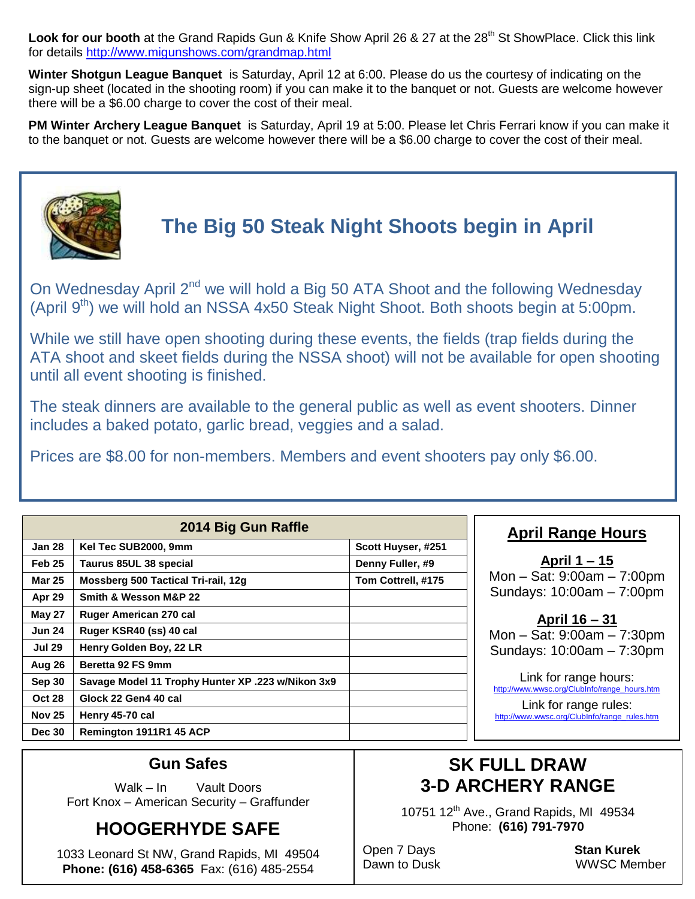Look for our booth at the Grand Rapids Gun & Knife Show April 26 & 27 at the 28<sup>th</sup> St ShowPlace. Click this link for details<http://www.migunshows.com/grandmap.html>

**Winter Shotgun League Banquet** is Saturday, April 12 at 6:00. Please do us the courtesy of indicating on the sign-up sheet (located in the shooting room) if you can make it to the banquet or not. Guests are welcome however there will be a \$6.00 charge to cover the cost of their meal.

**PM Winter Archery League Banquet** is Saturday, April 19 at 5:00. Please let Chris Ferrari know if you can make it to the banquet or not. Guests are welcome however there will be a \$6.00 charge to cover the cost of their meal.



## **The Big 50 Steak Night Shoots begin in April**

On Wednesday April 2<sup>nd</sup> we will hold a Big 50 ATA Shoot and the following Wednesday (April 9<sup>th</sup>) we will hold an NSSA 4x50 Steak Night Shoot. Both shoots begin at 5:00pm.

While we still have open shooting during these events, the fields (trap fields during the ATA shoot and skeet fields during the NSSA shoot) will not be available for open shooting until all event shooting is finished.

The steak dinners are available to the general public as well as event shooters. Dinner includes a baked potato, garlic bread, veggies and a salad.

Prices are \$8.00 for non-members. Members and event shooters pay only \$6.00.

| 2014 Big Gun Raffle |                                                   |                    |  |  |  |  |
|---------------------|---------------------------------------------------|--------------------|--|--|--|--|
| Jan 28              | Kel Tec SUB2000, 9mm                              | Scott Huyser, #251 |  |  |  |  |
| Feb 25              | Taurus 85UL 38 special                            | Denny Fuller, #9   |  |  |  |  |
| <b>Mar 25</b>       | Mossberg 500 Tactical Tri-rail, 12g               | Tom Cottrell, #175 |  |  |  |  |
| Apr 29              | Smith & Wesson M&P 22                             |                    |  |  |  |  |
| <b>May 27</b>       | Ruger American 270 cal                            |                    |  |  |  |  |
| <b>Jun 24</b>       | Ruger KSR40 (ss) 40 cal                           |                    |  |  |  |  |
| <b>Jul 29</b>       | Henry Golden Boy, 22 LR                           |                    |  |  |  |  |
| Aug 26              | Beretta 92 FS 9mm                                 |                    |  |  |  |  |
| Sep 30              | Savage Model 11 Trophy Hunter XP .223 w/Nikon 3x9 |                    |  |  |  |  |
| <b>Oct 28</b>       | Glock 22 Gen4 40 cal                              |                    |  |  |  |  |
| <b>Nov 25</b>       | Henry 45-70 cal                                   |                    |  |  |  |  |
| <b>Dec 30</b>       | Remington 1911R1 45 ACP                           |                    |  |  |  |  |

### **April Range Hours**

**April 1 – 15** Mon – Sat: 9:00am – 7:00pm Sundays: 10:00am – 7:00pm

**April 16 – 31** Mon – Sat: 9:00am – 7:30pm Sundays: 10:00am – 7:30pm

Link for range hours: [http://www.wwsc.org/ClubInfo/range\\_hours.htm](http://www.wwsc.org/ClubInfo/range_hours.htm)

Link for range rules: [http://www.wwsc.org/ClubInfo/range\\_rules.htm](http://www.wwsc.org/ClubInfo/range_rules.htm)

#### **Gun Safes**

Walk – In Vault Doors Fort Knox – American Security – Graffunder

### **HOOGERHYDE SAFE**

1033 Leonard St NW, Grand Rapids, MI 49504 **Phone: (616) 458-6365** Fax: (616) 485-2554

### **SK FULL DRAW 3-D ARCHERY RANGE**

10751 12<sup>th</sup> Ave., Grand Rapids, MI 49534 Phone: **(616) 791-7970**

Open 7 Days **Stan Kurek**

Dawn to Dusk WWSC Member